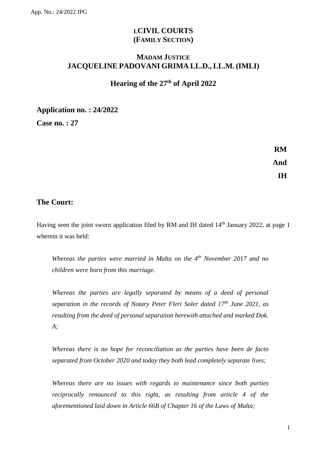# **LCIVIL COURTS (FAMILY SECTION)**

## **MADAM JUSTICE JACQUELINE PADOVANI GRIMA LL.D., LL.M. (IMLI)**

# **Hearing of the 27th of April 2022**

**Application no. : 24/2022**

**Case no. : 27**

**RM And IH**

### **The Court:**

Having seen the joint sworn application filed by RM and IH dated 14<sup>th</sup> January 2022, at page 1 wherein it was held:

*Whereas the parties were married in Malta on the 4th November 2017 and no children were born from this marriage.*

*Whereas the parties are legally separated by means of a deed of personal separation in the records of Notary Peter Fleri Soler dated 17th June 2021, as resulting from the deed of personal separation herewith attached and marked Dok. A;*

*Whereas there is no hope for reconciliation as the parties have been de facto separated from October 2020 and today they both lead completely separate lives;*

*Whereas there are no issues with regards to maintenance since both parties reciprocally renounced to this right, as resulting from article 4 of the aforementioned laid down in Article 66B of Chapter 16 of the Laws of Malta;*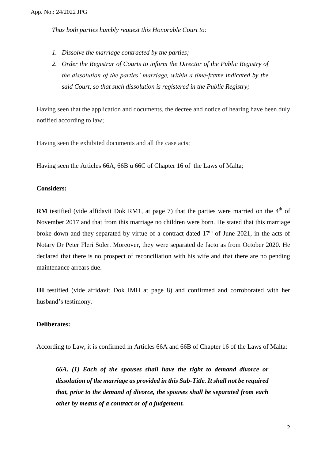*Thus both parties humbly request this Honorable Court to:*

- *1. Dissolve the marriage contracted by the parties;*
- *2. Order the Registrar of Courts to inform the Director of the Public Registry of the dissolution of the parties' marriage, within a time-frame indicated by the said Court, so that such dissolution is registered in the Public Registry;*

Having seen that the application and documents, the decree and notice of hearing have been duly notified according to law;

Having seen the exhibited documents and all the case acts;

Having seen the Articles 66A, 66B u 66C of Chapter 16 of the Laws of Malta;

#### **Considers:**

**RM** testified (vide affidavit Dok RM1, at page 7) that the parties were married on the  $4<sup>th</sup>$  of November 2017 and that from this marriage no children were born. He stated that this marriage broke down and they separated by virtue of a contract dated  $17<sup>th</sup>$  of June 2021, in the acts of Notary Dr Peter Fleri Soler. Moreover, they were separated de facto as from October 2020. He declared that there is no prospect of reconciliation with his wife and that there are no pending maintenance arrears due.

**IH** testified (vide affidavit Dok IMH at page 8) and confirmed and corroborated with her husband's testimony.

#### **Deliberates:**

According to Law, it is confirmed in Articles 66A and 66B of Chapter 16 of the Laws of Malta:

*66A. (1) Each of the spouses shall have the right to demand divorce or dissolution of the marriage as provided in this Sub-Title. It shall not be required that, prior to the demand of divorce, the spouses shall be separated from each other by means of a contract or of a judgement.*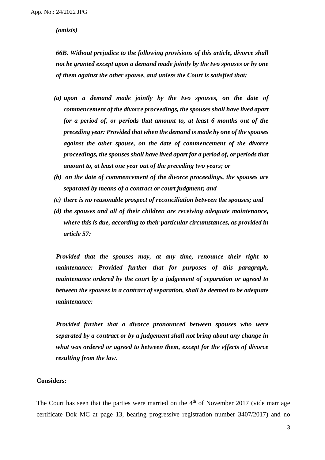*(omisis)*

*66B. Without prejudice to the following provisions of this article, divorce shall not be granted except upon a demand made jointly by the two spouses or by one of them against the other spouse, and unless the Court is satisfied that:*

- *(a) upon a demand made jointly by the two spouses, on the date of commencement of the divorce proceedings, the spouses shall have lived apart for a period of, or periods that amount to, at least 6 months out of the preceding year: Provided that when the demand is made by one of the spouses against the other spouse, on the date of commencement of the divorce proceedings, the spouses shall have lived apart for a period of, or periods that amount to, at least one year out of the preceding two years; or*
- *(b) on the date of commencement of the divorce proceedings, the spouses are separated by means of a contract or court judgment; and*
- *(c) there is no reasonable prospect of reconciliation between the spouses; and*
- *(d) the spouses and all of their children are receiving adequate maintenance, where this is due, according to their particular circumstances, as provided in article 57:*

*Provided that the spouses may, at any time, renounce their right to maintenance: Provided further that for purposes of this paragraph, maintenance ordered by the court by a judgement of separation or agreed to between the spouses in a contract of separation, shall be deemed to be adequate maintenance:* 

*Provided further that a divorce pronounced between spouses who were separated by a contract or by a judgement shall not bring about any change in what was ordered or agreed to between them, except for the effects of divorce resulting from the law.*

#### **Considers:**

The Court has seen that the parties were married on the  $4<sup>th</sup>$  of November 2017 (vide marriage certificate Dok MC at page 13, bearing progressive registration number 3407/2017) and no